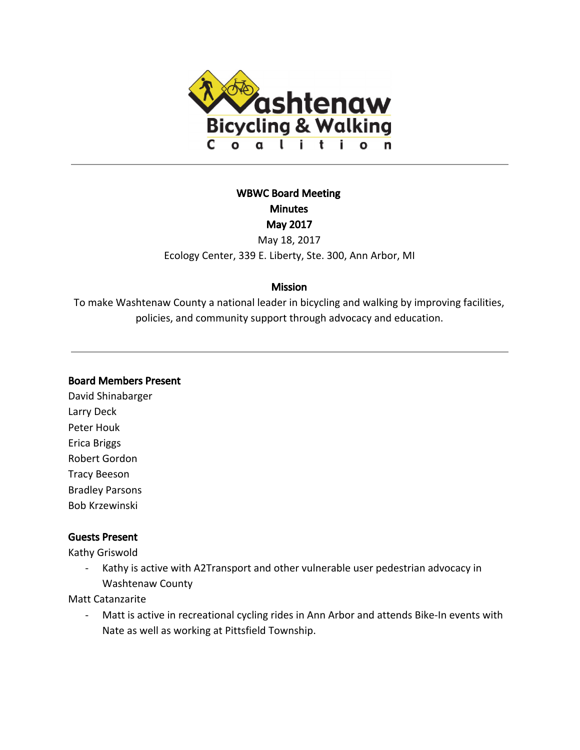

# WBWC Board Meeting **Minutes** May 2017 May 18, 2017

Ecology Center, 339 E. Liberty, Ste. 300, Ann Arbor, MI

## **Mission**

To make Washtenaw County a national leader in bicycling and walking by improving facilities, policies, and community support through advocacy and education.

### Board Members Present

David Shinabarger Larry Deck Peter Houk Erica Briggs Robert Gordon Tracy Beeson Bradley Parsons Bob Krzewinski

## Guests Present

Kathy Griswold

- Kathy is active with A2Transport and other vulnerable user pedestrian advocacy in Washtenaw County

Matt Catanzarite

- Matt is active in recreational cycling rides in Ann Arbor and attends Bike-In events with Nate as well as working at Pittsfield Township.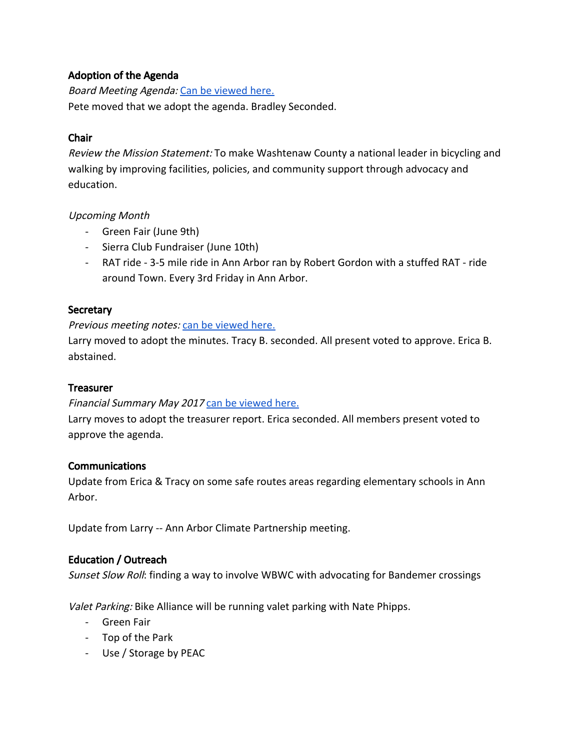### Adoption of the Agenda

Board Meeting Agenda: [Can be viewed here.](https://docs.google.com/document/d/1RdUlqifHjwLK-YSI4aC7B2K5sy4A0TRP8qT0Rox4t00/edit?usp=sharing) Pete moved that we adopt the agenda. Bradley Seconded.

## Chair

Review the Mission Statement: To make Washtenaw County a national leader in bicycling and walking by improving facilities, policies, and community support through advocacy and education.

### Upcoming Month

- Green Fair (June 9th)
- Sierra Club Fundraiser (June 10th)
- RAT ride 3-5 mile ride in Ann Arbor ran by Robert Gordon with a stuffed RAT ride around Town. Every 3rd Friday in Ann Arbor.

## **Secretary**

### Previous meeting notes: [can be viewed here.](https://docs.google.com/document/d/1k5coqnY3Tp8NGMV0OXn6e-YwcREe5f8rrInz_ew0I8s/edit?usp=sharing)

Larry moved to adopt the minutes. Tracy B. seconded. All present voted to approve. Erica B. abstained.

### **Treasurer**

### Financial Summary May 2017 [can be viewed here.](https://docs.google.com/document/d/1O87L0e-rozIMtKlgK4uGHiD1t-Bd1ndbQ_1XyqLZeRM/edit?usp=sharing)

Larry moves to adopt the treasurer report. Erica seconded. All members present voted to approve the agenda.

### **Communications**

Update from Erica & Tracy on some safe routes areas regarding elementary schools in Ann Arbor.

Update from Larry -- Ann Arbor Climate Partnership meeting.

### Education / Outreach

Sunset Slow Roll: finding a way to involve WBWC with advocating for Bandemer crossings

Valet Parking: Bike Alliance will be running valet parking with Nate Phipps.

- Green Fair
- Top of the Park
- Use / Storage by PEAC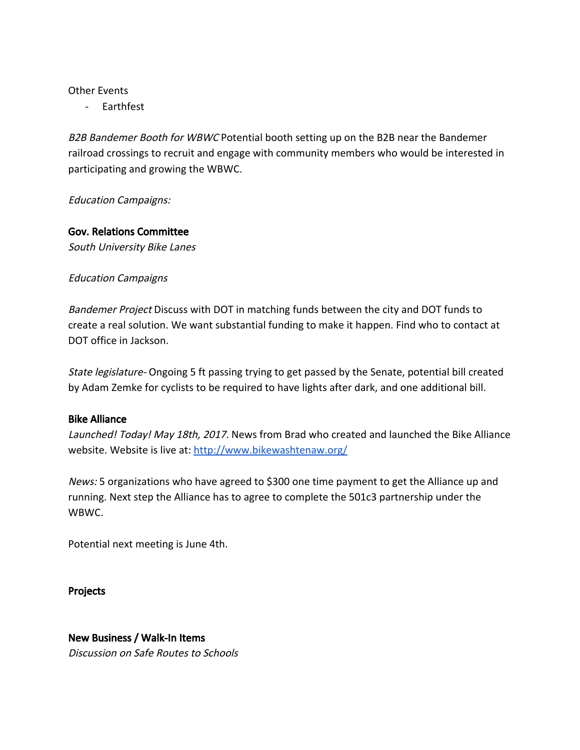#### Other Events

- Earthfest

B2B Bandemer Booth for WBWC Potential booth setting up on the B2B near the Bandemer railroad crossings to recruit and engage with community members who would be interested in participating and growing the WBWC.

Education Campaigns:

### Gov. Relations Committee

South University Bike Lanes

### Education Campaigns

Bandemer Project Discuss with DOT in matching funds between the city and DOT funds to create a real solution. We want substantial funding to make it happen. Find who to contact at DOT office in Jackson.

State legislature- Ongoing 5 ft passing trying to get passed by the Senate, potential bill created by Adam Zemke for cyclists to be required to have lights after dark, and one additional bill.

#### Bike Alliance

Launched! Today! May 18th, 2017. News from Brad who created and launched the Bike Alliance website. Website is live at:<http://www.bikewashtenaw.org/>

News: 5 organizations who have agreed to \$300 one time payment to get the Alliance up and running. Next step the Alliance has to agree to complete the 501c3 partnership under the WBWC.

Potential next meeting is June 4th.

Projects

# New Business / Walk-In Items

Discussion on Safe Routes to Schools